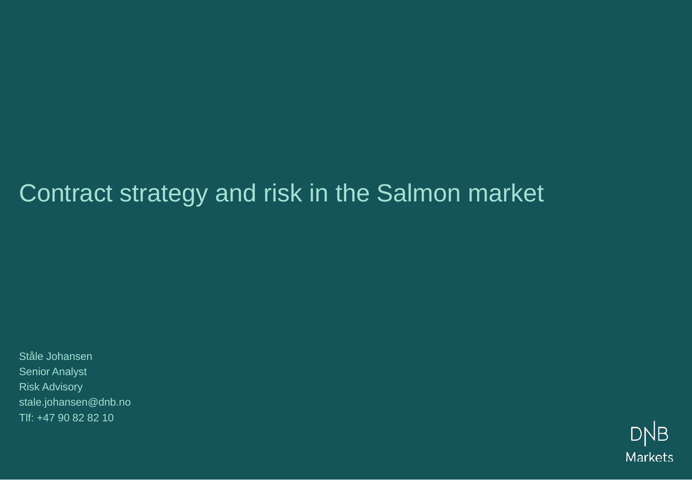# Contract strategy and risk in the Salmon market

Ståle Johansen Senior Analyst Risk Advisory stale.johansen@dnb.no Tlf: +47 90 82 82 10

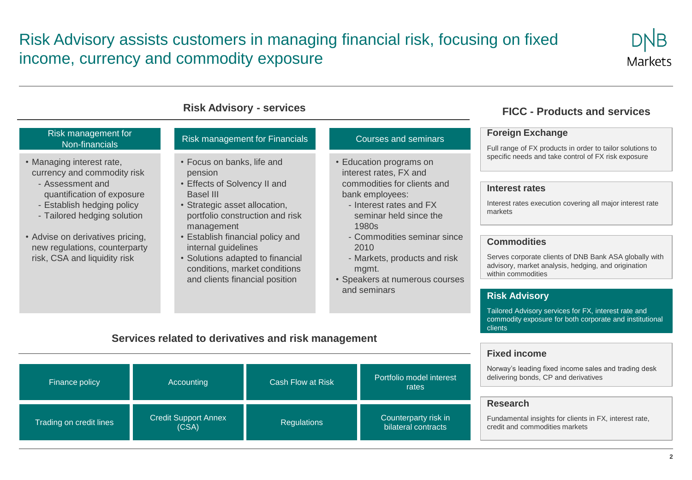#### Risk Advisory assists customers in managing financial risk, focusing on fixed income, currency and commodity exposure



| <b>Risk Advisory - services</b>                                                                                                                                                                                                                                              |                                                                                                                                                                                                                                                                                                                                        |                                                                                                                                                                                                                                                                                                     | <b>FICC - Products and services</b>                                                                                                                                                                                                                                                                                                                                                               |  |
|------------------------------------------------------------------------------------------------------------------------------------------------------------------------------------------------------------------------------------------------------------------------------|----------------------------------------------------------------------------------------------------------------------------------------------------------------------------------------------------------------------------------------------------------------------------------------------------------------------------------------|-----------------------------------------------------------------------------------------------------------------------------------------------------------------------------------------------------------------------------------------------------------------------------------------------------|---------------------------------------------------------------------------------------------------------------------------------------------------------------------------------------------------------------------------------------------------------------------------------------------------------------------------------------------------------------------------------------------------|--|
| <b>Risk management for</b><br>Non-financials                                                                                                                                                                                                                                 | Risk management for Financials                                                                                                                                                                                                                                                                                                         | <b>Courses and seminars</b>                                                                                                                                                                                                                                                                         | <b>Foreign Exchange</b><br>Full range of FX products in order to tailor solutions to                                                                                                                                                                                                                                                                                                              |  |
| • Managing interest rate,<br>currency and commodity risk<br>- Assessment and<br>quantification of exposure<br>- Establish hedging policy<br>- Tailored hedging solution<br>• Advise on derivatives pricing,<br>new regulations, counterparty<br>risk, CSA and liquidity risk | • Focus on banks, life and<br>pension<br>• Effects of Solvency II and<br>Basel III<br>• Strategic asset allocation,<br>portfolio construction and risk<br>management<br>• Establish financial policy and<br>internal guidelines<br>• Solutions adapted to financial<br>conditions, market conditions<br>and clients financial position | • Education programs on<br>interest rates, FX and<br>commodities for clients and<br>bank employees:<br>- Interest rates and FX<br>seminar held since the<br>1980s<br>- Commodities seminar since<br>2010<br>- Markets, products and risk<br>mgmt.<br>• Speakers at numerous courses<br>and seminars | specific needs and take control of FX risk exposure<br><b>Interest rates</b><br>Interest rates execution covering all major interest rate<br>markets<br><b>Commodities</b><br>Serves corporate clients of DNB Bank ASA globally with<br>advisory, market analysis, hedging, and origination<br>within commodities<br><b>Risk Advisory</b><br>Tailored Advisory services for FX, interest rate and |  |
|                                                                                                                                                                                                                                                                              | Services related to derivatives and risk management                                                                                                                                                                                                                                                                                    |                                                                                                                                                                                                                                                                                                     | commodity exposure for both corporate and institutional<br>clients<br>Eived income                                                                                                                                                                                                                                                                                                                |  |

| Finance policy          | Accounting                           | Cash Flow at Risk  | Portfolio model interest<br>rates           |
|-------------------------|--------------------------------------|--------------------|---------------------------------------------|
| Trading on credit lines | <b>Credit Support Annex</b><br>(CSA) | <b>Regulations</b> | Counterparty risk in<br>bilateral contracts |

#### **Fixed income**

Norway's leading fixed income sales and trading desk delivering bonds, CP and derivatives

#### **Research**

Fundamental insights for clients in FX, interest rate, credit and commodities markets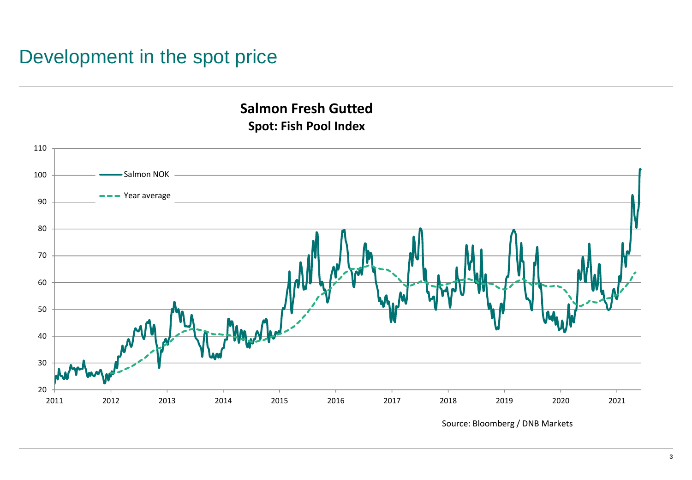#### Development in the spot price

#### **Salmon Fresh Gutted Spot: Fish Pool Index**

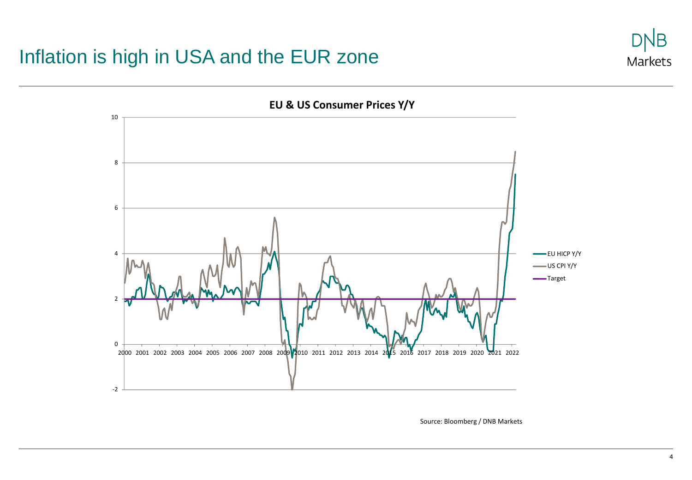#### Inflation is high in USA and the EUR zone





Source: Bloomberg / DNB Markets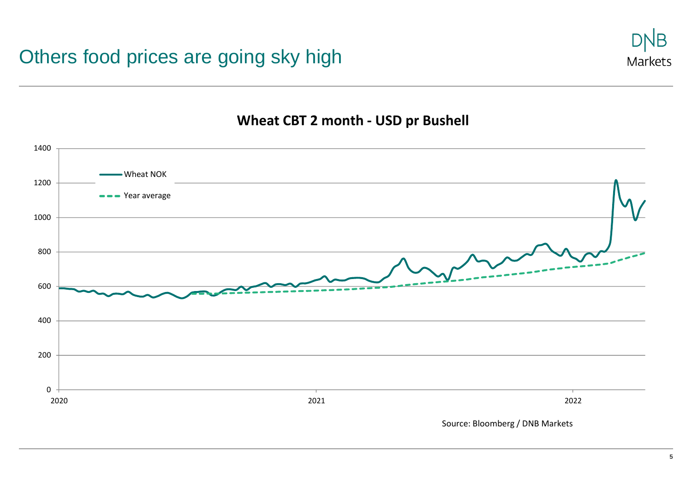

#### **Wheat CBT 2 month - USD pr Bushell**

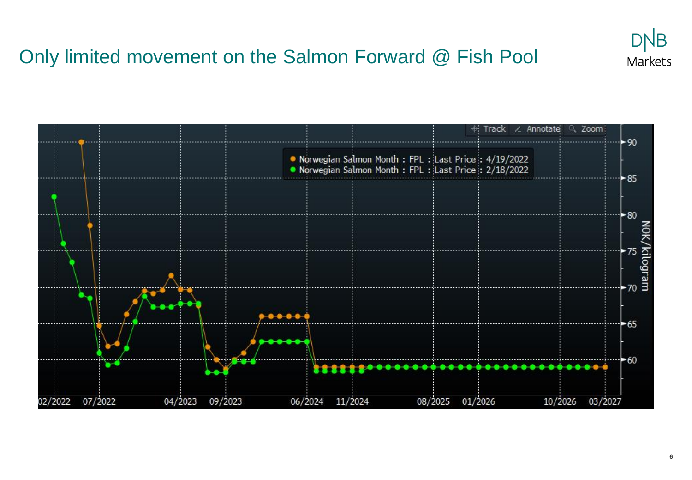## Only limited movement on the Salmon Forward @ Fish Pool

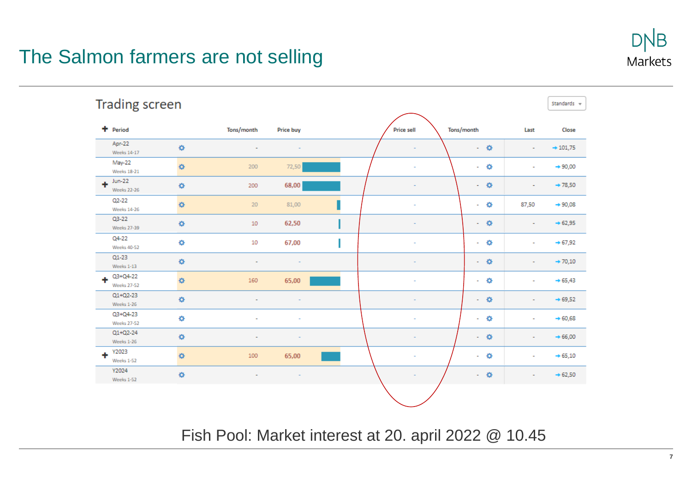### The Salmon farmers are not selling



Fish Pool: Market interest at 20. april 2022 @ 10.45

Markets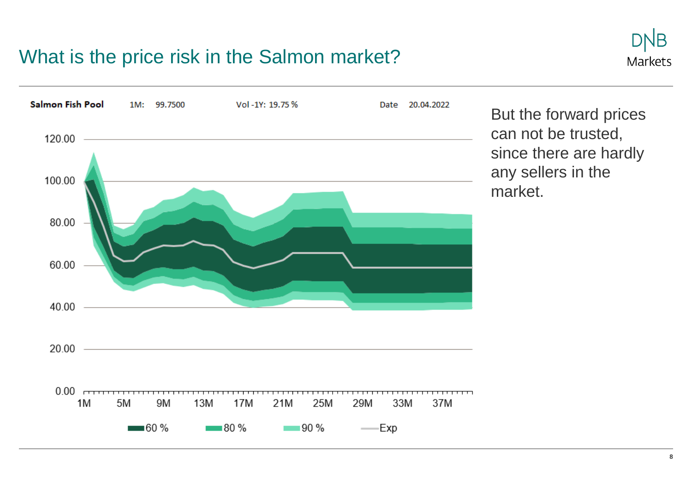#### What is the price risk in the Salmon market?





But the forward prices can not be trusted, since there are hardly any sellers in the market.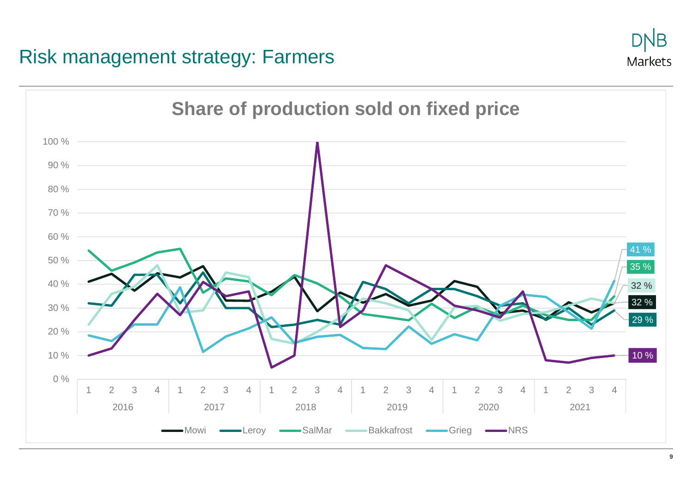#### Risk management strategy: Farmers



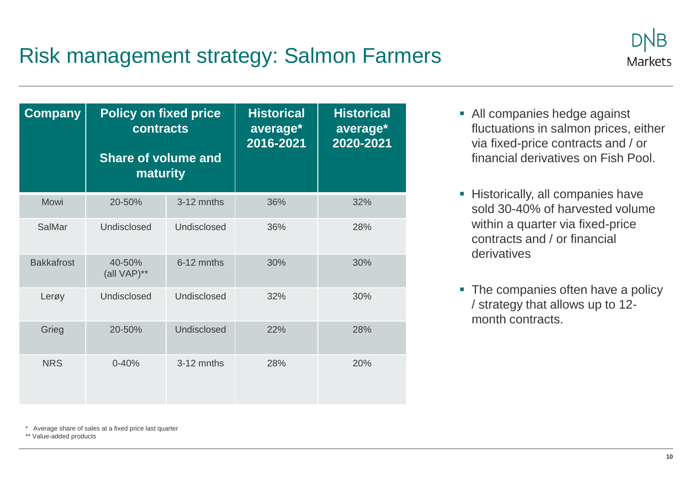## Risk management strategy: Salmon Farmers



| <b>Company</b>    | <b>Policy on fixed price</b><br>contracts<br>Share of volume and<br>maturity |             | <b>Historical</b><br>average*<br>2016-2021 | <b>Historical</b><br>average*<br>2020-2021 |
|-------------------|------------------------------------------------------------------------------|-------------|--------------------------------------------|--------------------------------------------|
| Mowi              | 20-50%                                                                       | 3-12 mnths  | 36%                                        | 32%                                        |
| SalMar            | Undisclosed                                                                  | Undisclosed | 36%                                        | 28%                                        |
| <b>Bakkafrost</b> | 40-50%<br>(all VAP)**                                                        | 6-12 mnths  | 30%                                        | 30%                                        |
| Lerøy             | Undisclosed                                                                  | Undisclosed | 32%                                        | 30%                                        |
| Grieg             | 20-50%                                                                       | Undisclosed | 22%                                        | 28%                                        |
| <b>NRS</b>        | $0 - 40%$                                                                    | 3-12 mnths  | 28%                                        | 20%                                        |

- All companies hedge against fluctuations in salmon prices, either via fixed-price contracts and / or financial derivatives on Fish Pool.
- **EXEC** Historically, all companies have sold 30-40% of harvested volume within a quarter via fixed-price contracts and / or financial derivatives
- The companies often have a policy / strategy that allows up to 12 month contracts.

\* Average share of sales at a fixed price last quarter

\*\* Value-added products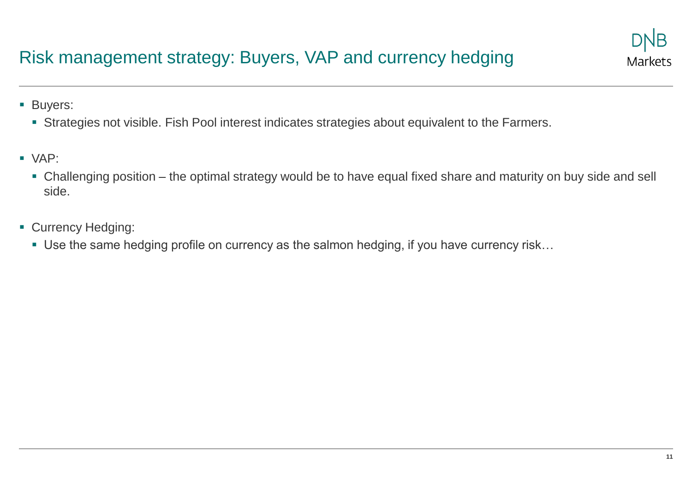#### Risk management strategy: Buyers, VAP and currency hedging

■ Buyers:

- **EXTERCH Strategies not visible. Fish Pool interest indicates strategies about equivalent to the Farmers.**
- VAP:
	- Challenging position the optimal strategy would be to have equal fixed share and maturity on buy side and sell side.
- Currency Hedging:
	- Use the same hedging profile on currency as the salmon hedging, if you have currency risk...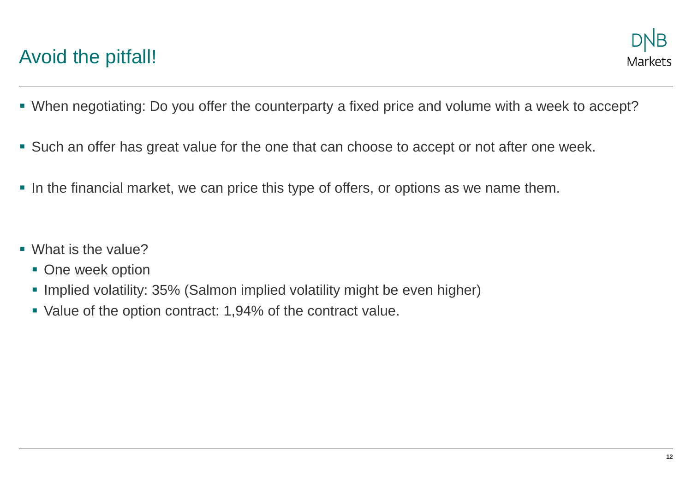### Avoid the pitfall!

- When negotiating: Do you offer the counterparty a fixed price and volume with a week to accept?
- Such an offer has great value for the one that can choose to accept or not after one week.
- **.** In the financial market, we can price this type of offers, or options as we name them.
- What is the value?
	- One week option
	- **Implied volatility: 35% (Salmon implied volatility might be even higher)**
	- Value of the option contract: 1,94% of the contract value.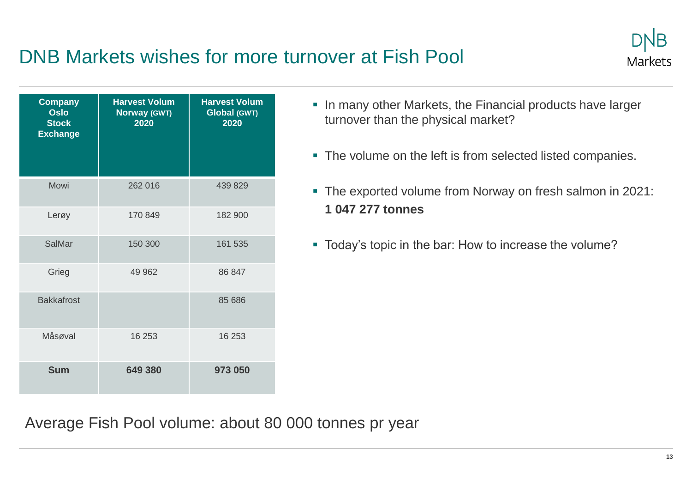### DNB Markets wishes for more turnover at Fish Pool



- **.** In many other Markets, the Financial products have larger turnover than the physical market?
- The volume on the left is from selected listed companies.
- The exported volume from Norway on fresh salmon in 2021: **1 047 277 tonnes**
- Today's topic in the bar: How to increase the volume?

Average Fish Pool volume: about 80 000 tonnes pr year

Markets